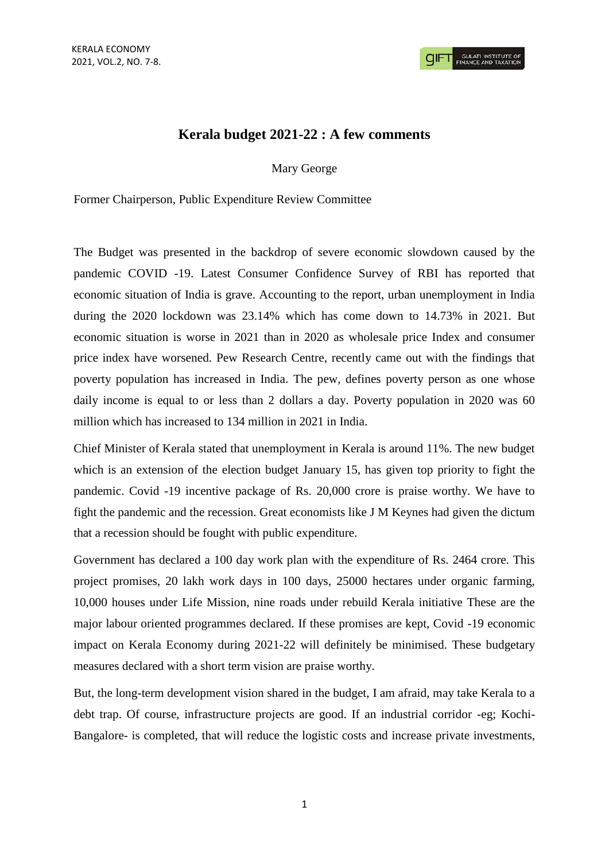# **Kerala budget 2021-22 : A few comments**

Mary George

Former Chairperson, Public Expenditure Review Committee

The Budget was presented in the backdrop of severe economic slowdown caused by the pandemic COVID -19. Latest Consumer Confidence Survey of RBI has reported that economic situation of India is grave. Accounting to the report, urban unemployment in India during the 2020 lockdown was 23.14% which has come down to 14.73% in 2021. But economic situation is worse in 2021 than in 2020 as wholesale price Index and consumer price index have worsened. Pew Research Centre, recently came out with the findings that poverty population has increased in India. The pew, defines poverty person as one whose daily income is equal to or less than 2 dollars a day. Poverty population in 2020 was 60 million which has increased to 134 million in 2021 in India.

Chief Minister of Kerala stated that unemployment in Kerala is around 11%. The new budget which is an extension of the election budget January 15, has given top priority to fight the pandemic. Covid -19 incentive package of Rs. 20,000 crore is praise worthy. We have to fight the pandemic and the recession. Great economists like J M Keynes had given the dictum that a recession should be fought with public expenditure.

Government has declared a 100 day work plan with the expenditure of Rs. 2464 crore. This project promises, 20 lakh work days in 100 days, 25000 hectares under organic farming, 10,000 houses under Life Mission, nine roads under rebuild Kerala initiative These are the major labour oriented programmes declared. If these promises are kept, Covid -19 economic impact on Kerala Economy during 2021-22 will definitely be minimised. These budgetary measures declared with a short term vision are praise worthy.

But, the long-term development vision shared in the budget, I am afraid, may take Kerala to a debt trap. Of course, infrastructure projects are good. If an industrial corridor -eg; Kochi-Bangalore- is completed, that will reduce the logistic costs and increase private investments,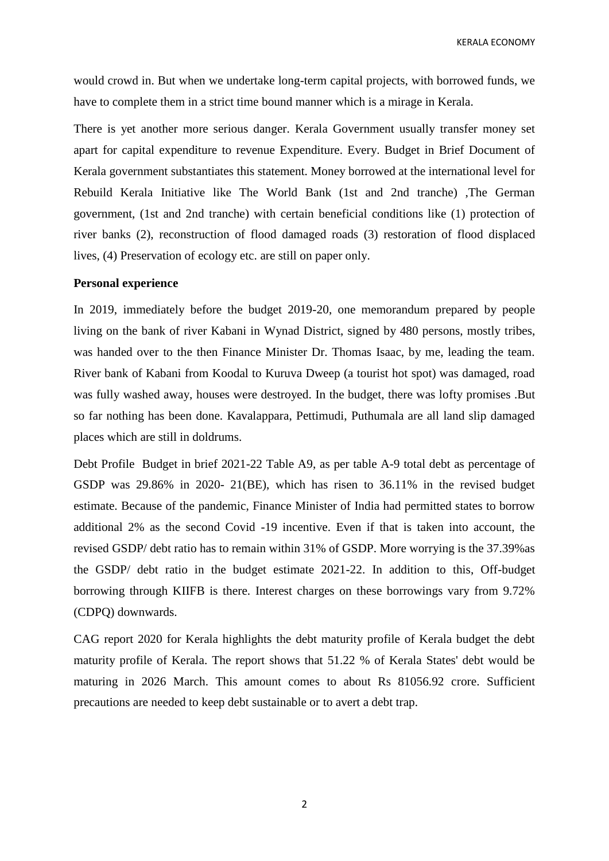KERALA ECONOMY

would crowd in. But when we undertake long-term capital projects, with borrowed funds, we have to complete them in a strict time bound manner which is a mirage in Kerala.

There is yet another more serious danger. Kerala Government usually transfer money set apart for capital expenditure to revenue Expenditure. Every. Budget in Brief Document of Kerala government substantiates this statement. Money borrowed at the international level for Rebuild Kerala Initiative like The World Bank (1st and 2nd tranche) ,The German government, (1st and 2nd tranche) with certain beneficial conditions like (1) protection of river banks (2), reconstruction of flood damaged roads (3) restoration of flood displaced lives, (4) Preservation of ecology etc. are still on paper only.

### **Personal experience**

In 2019, immediately before the budget 2019-20, one memorandum prepared by people living on the bank of river Kabani in Wynad District, signed by 480 persons, mostly tribes, was handed over to the then Finance Minister Dr. Thomas Isaac, by me, leading the team. River bank of Kabani from Koodal to Kuruva Dweep (a tourist hot spot) was damaged, road was fully washed away, houses were destroyed. In the budget, there was lofty promises .But so far nothing has been done. Kavalappara, Pettimudi, Puthumala are all land slip damaged places which are still in doldrums.

Debt Profile Budget in brief 2021-22 Table A9, as per table A-9 total debt as percentage of GSDP was 29.86% in 2020- 21(BE), which has risen to 36.11% in the revised budget estimate. Because of the pandemic, Finance Minister of India had permitted states to borrow additional 2% as the second Covid -19 incentive. Even if that is taken into account, the revised GSDP/ debt ratio has to remain within 31% of GSDP. More worrying is the 37.39%as the GSDP/ debt ratio in the budget estimate 2021-22. In addition to this, Off-budget borrowing through KIIFB is there. Interest charges on these borrowings vary from 9.72% (CDPQ) downwards.

CAG report 2020 for Kerala highlights the debt maturity profile of Kerala budget the debt maturity profile of Kerala. The report shows that 51.22 % of Kerala States' debt would be maturing in 2026 March. This amount comes to about Rs 81056.92 crore. Sufficient precautions are needed to keep debt sustainable or to avert a debt trap.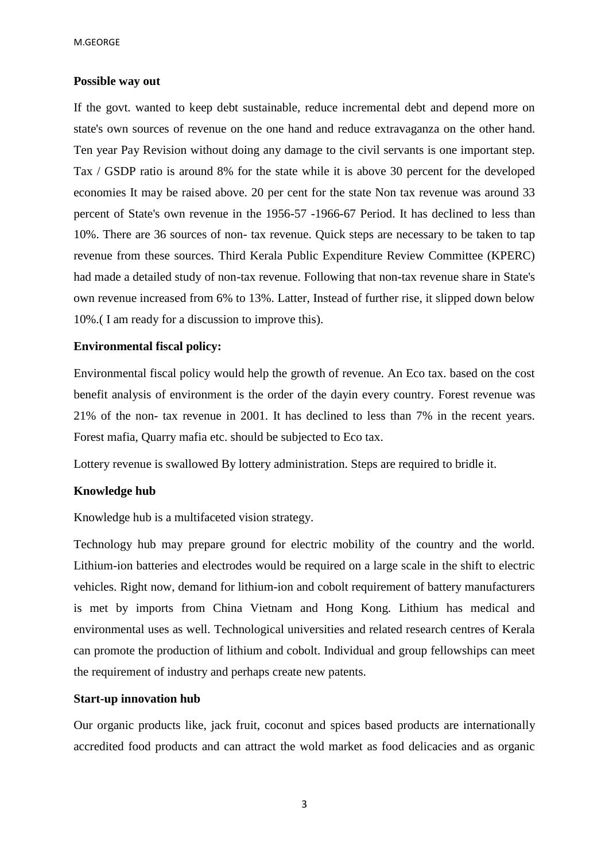### **Possible way out**

If the govt. wanted to keep debt sustainable, reduce incremental debt and depend more on state's own sources of revenue on the one hand and reduce extravaganza on the other hand. Ten year Pay Revision without doing any damage to the civil servants is one important step. Tax / GSDP ratio is around 8% for the state while it is above 30 percent for the developed economies It may be raised above. 20 per cent for the state Non tax revenue was around 33 percent of State's own revenue in the 1956-57 -1966-67 Period. It has declined to less than 10%. There are 36 sources of non- tax revenue. Quick steps are necessary to be taken to tap revenue from these sources. Third Kerala Public Expenditure Review Committee (KPERC) had made a detailed study of non-tax revenue. Following that non-tax revenue share in State's own revenue increased from 6% to 13%. Latter, Instead of further rise, it slipped down below 10%.( I am ready for a discussion to improve this).

### **Environmental fiscal policy:**

Environmental fiscal policy would help the growth of revenue. An Eco tax. based on the cost benefit analysis of environment is the order of the dayin every country. Forest revenue was 21% of the non- tax revenue in 2001. It has declined to less than 7% in the recent years. Forest mafia, Quarry mafia etc. should be subjected to Eco tax.

Lottery revenue is swallowed By lottery administration. Steps are required to bridle it.

# **Knowledge hub**

Knowledge hub is a multifaceted vision strategy.

Technology hub may prepare ground for electric mobility of the country and the world. Lithium-ion batteries and electrodes would be required on a large scale in the shift to electric vehicles. Right now, demand for lithium-ion and cobolt requirement of battery manufacturers is met by imports from China Vietnam and Hong Kong. Lithium has medical and environmental uses as well. Technological universities and related research centres of Kerala can promote the production of lithium and cobolt. Individual and group fellowships can meet the requirement of industry and perhaps create new patents.

### **Start-up innovation hub**

Our organic products like, jack fruit, coconut and spices based products are internationally accredited food products and can attract the wold market as food delicacies and as organic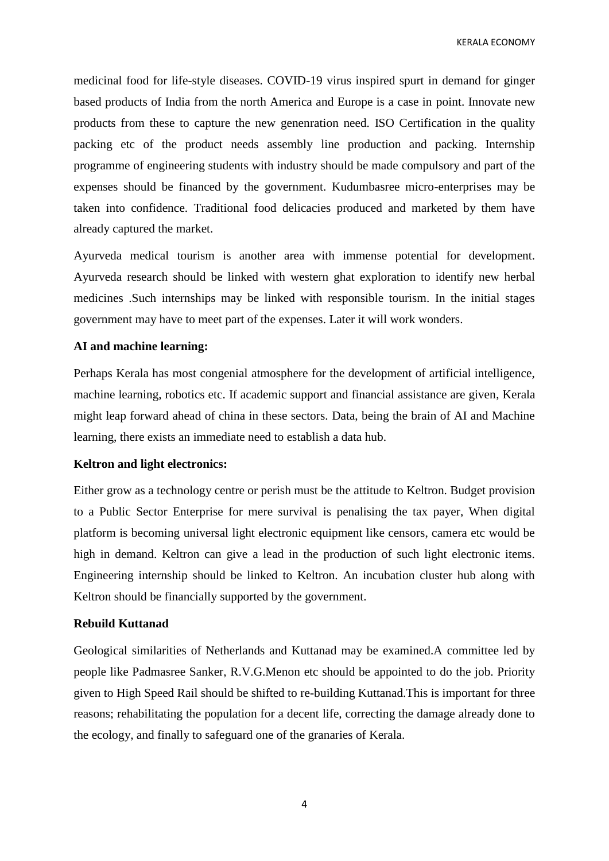KERALA ECONOMY

medicinal food for life-style diseases. COVID-19 virus inspired spurt in demand for ginger based products of India from the north America and Europe is a case in point. Innovate new products from these to capture the new genenration need. ISO Certification in the quality packing etc of the product needs assembly line production and packing. Internship programme of engineering students with industry should be made compulsory and part of the expenses should be financed by the government. Kudumbasree micro-enterprises may be taken into confidence. Traditional food delicacies produced and marketed by them have already captured the market.

Ayurveda medical tourism is another area with immense potential for development. Ayurveda research should be linked with western ghat exploration to identify new herbal medicines .Such internships may be linked with responsible tourism. In the initial stages government may have to meet part of the expenses. Later it will work wonders.

### **AI and machine learning:**

Perhaps Kerala has most congenial atmosphere for the development of artificial intelligence, machine learning, robotics etc. If academic support and financial assistance are given, Kerala might leap forward ahead of china in these sectors. Data, being the brain of AI and Machine learning, there exists an immediate need to establish a data hub.

### **Keltron and light electronics:**

Either grow as a technology centre or perish must be the attitude to Keltron. Budget provision to a Public Sector Enterprise for mere survival is penalising the tax payer, When digital platform is becoming universal light electronic equipment like censors, camera etc would be high in demand. Keltron can give a lead in the production of such light electronic items. Engineering internship should be linked to Keltron. An incubation cluster hub along with Keltron should be financially supported by the government.

### **Rebuild Kuttanad**

Geological similarities of Netherlands and Kuttanad may be examined.A committee led by people like Padmasree Sanker, R.V.G.Menon etc should be appointed to do the job. Priority given to High Speed Rail should be shifted to re-building Kuttanad.This is important for three reasons; rehabilitating the population for a decent life, correcting the damage already done to the ecology, and finally to safeguard one of the granaries of Kerala.

4